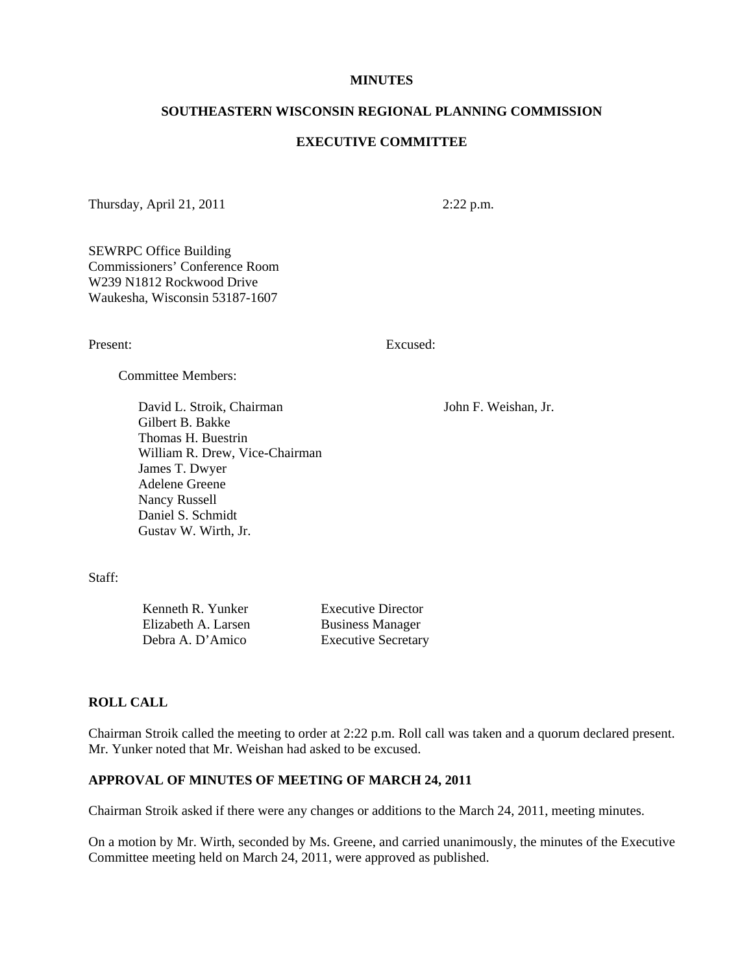#### **MINUTES**

### **SOUTHEASTERN WISCONSIN REGIONAL PLANNING COMMISSION**

# **EXECUTIVE COMMITTEE**

Thursday, April 21, 2011 2:22 p.m.

SEWRPC Office Building Commissioners' Conference Room W239 N1812 Rockwood Drive Waukesha, Wisconsin 53187-1607

Present: Excused:

Committee Members:

David L. Stroik, Chairman John F. Weishan, Jr. Gilbert B. Bakke Thomas H. Buestrin William R. Drew, Vice-Chairman James T. Dwyer Adelene Greene Nancy Russell Daniel S. Schmidt Gustav W. Wirth, Jr.

Staff:

Kenneth R. Yunker Executive Director Elizabeth A. Larsen Business Manager Debra A. D'Amico Executive Secretary

#### **ROLL CALL**

Chairman Stroik called the meeting to order at 2:22 p.m. Roll call was taken and a quorum declared present. Mr. Yunker noted that Mr. Weishan had asked to be excused.

# **APPROVAL OF MINUTES OF MEETING OF MARCH 24, 2011**

Chairman Stroik asked if there were any changes or additions to the March 24, 2011, meeting minutes.

On a motion by Mr. Wirth, seconded by Ms. Greene, and carried unanimously, the minutes of the Executive Committee meeting held on March 24, 2011, were approved as published.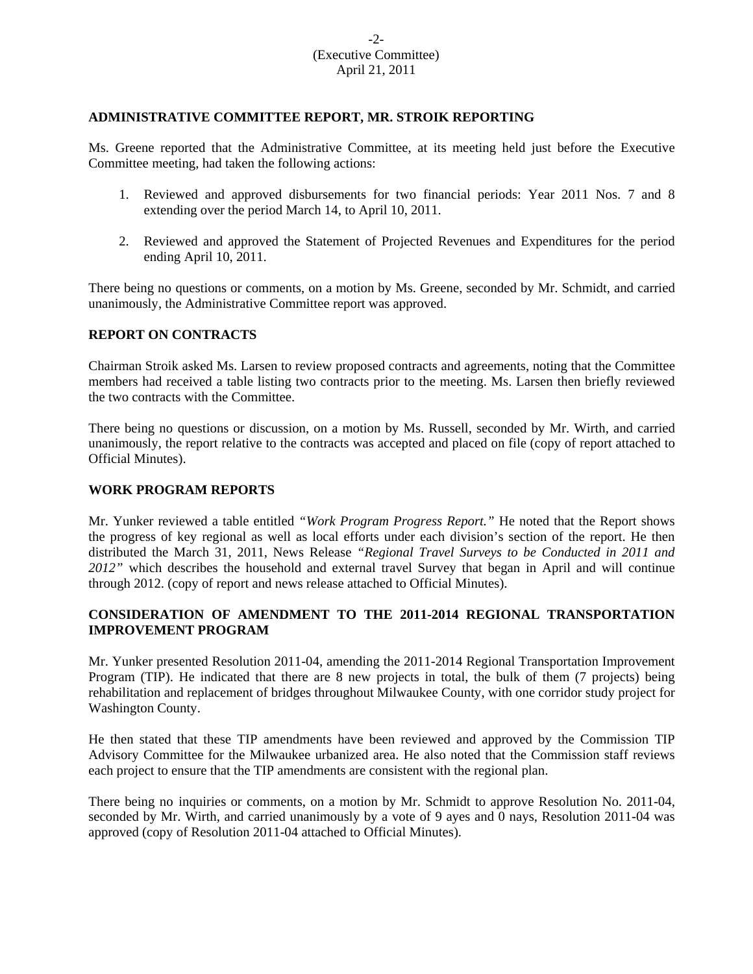# -2- (Executive Committee) April 21, 2011

# **ADMINISTRATIVE COMMITTEE REPORT, MR. STROIK REPORTING**

Ms. Greene reported that the Administrative Committee, at its meeting held just before the Executive Committee meeting, had taken the following actions:

- 1. Reviewed and approved disbursements for two financial periods: Year 2011 Nos. 7 and 8 extending over the period March 14, to April 10, 2011.
- 2. Reviewed and approved the Statement of Projected Revenues and Expenditures for the period ending April 10, 2011.

There being no questions or comments, on a motion by Ms. Greene, seconded by Mr. Schmidt, and carried unanimously, the Administrative Committee report was approved.

## **REPORT ON CONTRACTS**

Chairman Stroik asked Ms. Larsen to review proposed contracts and agreements, noting that the Committee members had received a table listing two contracts prior to the meeting. Ms. Larsen then briefly reviewed the two contracts with the Committee.

There being no questions or discussion, on a motion by Ms. Russell, seconded by Mr. Wirth, and carried unanimously, the report relative to the contracts was accepted and placed on file (copy of report attached to Official Minutes).

## **WORK PROGRAM REPORTS**

Mr. Yunker reviewed a table entitled *"Work Program Progress Report."* He noted that the Report shows the progress of key regional as well as local efforts under each division's section of the report. He then distributed the March 31, 2011, News Release *"Regional Travel Surveys to be Conducted in 2011 and 2012"* which describes the household and external travel Survey that began in April and will continue through 2012. (copy of report and news release attached to Official Minutes).

# **CONSIDERATION OF AMENDMENT TO THE 2011-2014 REGIONAL TRANSPORTATION IMPROVEMENT PROGRAM**

Mr. Yunker presented Resolution 2011-04, amending the 2011-2014 Regional Transportation Improvement Program (TIP). He indicated that there are 8 new projects in total, the bulk of them (7 projects) being rehabilitation and replacement of bridges throughout Milwaukee County, with one corridor study project for Washington County.

He then stated that these TIP amendments have been reviewed and approved by the Commission TIP Advisory Committee for the Milwaukee urbanized area. He also noted that the Commission staff reviews each project to ensure that the TIP amendments are consistent with the regional plan.

There being no inquiries or comments, on a motion by Mr. Schmidt to approve Resolution No. 2011-04, seconded by Mr. Wirth, and carried unanimously by a vote of 9 ayes and 0 nays, Resolution 2011-04 was approved (copy of Resolution 2011-04 attached to Official Minutes).